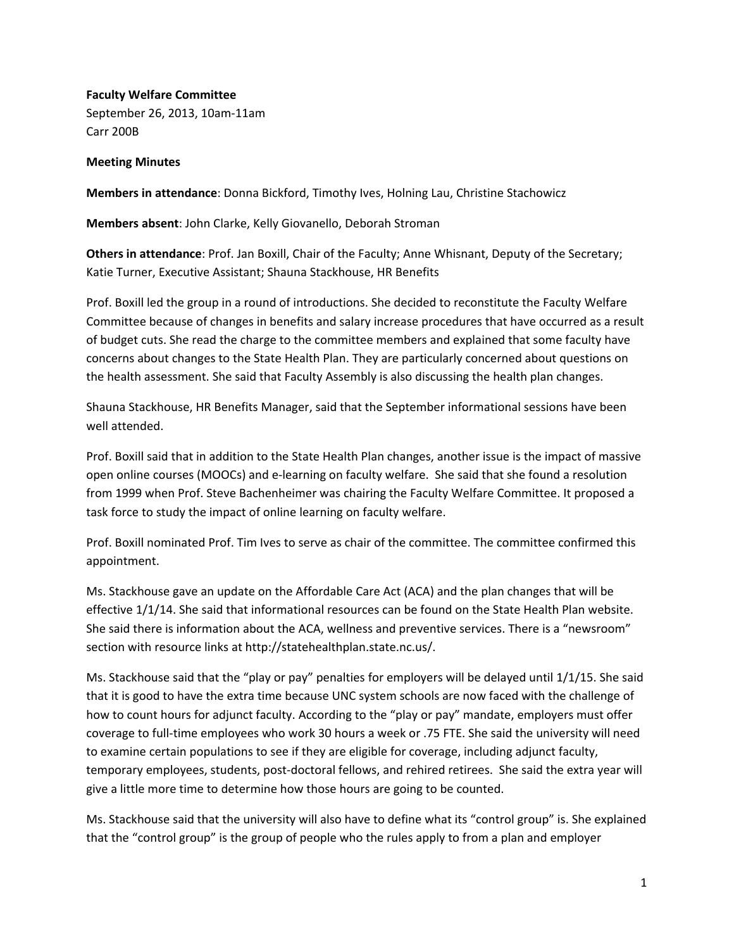**Faculty Welfare Committee** September 26, 2013, 10am‐11am Carr 200B

## **Meeting Minutes**

**Members in attendance**: Donna Bickford, Timothy Ives, Holning Lau, Christine Stachowicz

**Members absent**: John Clarke, Kelly Giovanello, Deborah Stroman

**Others in attendance**: Prof. Jan Boxill, Chair of the Faculty; Anne Whisnant, Deputy of the Secretary; Katie Turner, Executive Assistant; Shauna Stackhouse, HR Benefits

Prof. Boxill led the group in a round of introductions. She decided to reconstitute the Faculty Welfare Committee because of changes in benefits and salary increase procedures that have occurred as a result of budget cuts. She read the charge to the committee members and explained that some faculty have concerns about changes to the State Health Plan. They are particularly concerned about questions on the health assessment. She said that Faculty Assembly is also discussing the health plan changes.

Shauna Stackhouse, HR Benefits Manager, said that the September informational sessions have been well attended.

Prof. Boxill said that in addition to the State Health Plan changes, another issue is the impact of massive open online courses (MOOCs) and e‐learning on faculty welfare. She said that she found a resolution from 1999 when Prof. Steve Bachenheimer was chairing the Faculty Welfare Committee. It proposed a task force to study the impact of online learning on faculty welfare.

Prof. Boxill nominated Prof. Tim Ives to serve as chair of the committee. The committee confirmed this appointment.

Ms. Stackhouse gave an update on the Affordable Care Act (ACA) and the plan changes that will be effective 1/1/14. She said that informational resources can be found on the State Health Plan website. She said there is information about the ACA, wellness and preventive services. There is a "newsroom" section with resource links at http://statehealthplan.state.nc.us/.

Ms. Stackhouse said that the "play or pay" penalties for employers will be delayed until 1/1/15. She said that it is good to have the extra time because UNC system schools are now faced with the challenge of how to count hours for adjunct faculty. According to the "play or pay" mandate, employers must offer coverage to full‐time employees who work 30 hours a week or .75 FTE. She said the university will need to examine certain populations to see if they are eligible for coverage, including adjunct faculty, temporary employees, students, post-doctoral fellows, and rehired retirees. She said the extra year will give a little more time to determine how those hours are going to be counted.

Ms. Stackhouse said that the university will also have to define what its "control group" is. She explained that the "control group" is the group of people who the rules apply to from a plan and employer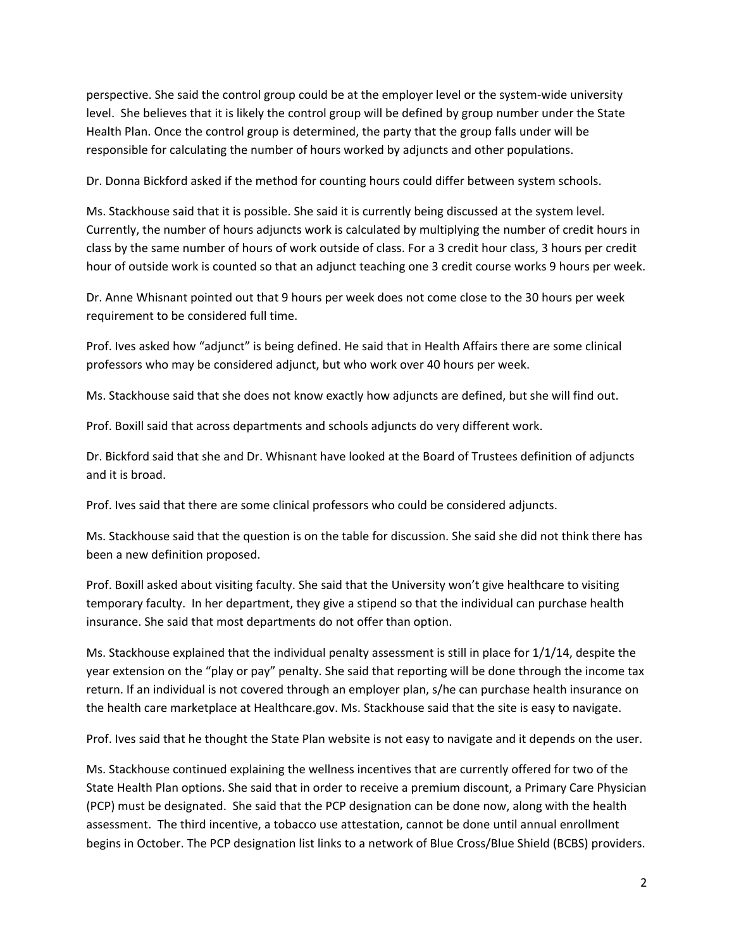perspective. She said the control group could be at the employer level or the system‐wide university level. She believes that it is likely the control group will be defined by group number under the State Health Plan. Once the control group is determined, the party that the group falls under will be responsible for calculating the number of hours worked by adjuncts and other populations.

Dr. Donna Bickford asked if the method for counting hours could differ between system schools.

Ms. Stackhouse said that it is possible. She said it is currently being discussed at the system level. Currently, the number of hours adjuncts work is calculated by multiplying the number of credit hours in class by the same number of hours of work outside of class. For a 3 credit hour class, 3 hours per credit hour of outside work is counted so that an adjunct teaching one 3 credit course works 9 hours per week.

Dr. Anne Whisnant pointed out that 9 hours per week does not come close to the 30 hours per week requirement to be considered full time.

Prof. Ives asked how "adjunct" is being defined. He said that in Health Affairs there are some clinical professors who may be considered adjunct, but who work over 40 hours per week.

Ms. Stackhouse said that she does not know exactly how adjuncts are defined, but she will find out.

Prof. Boxill said that across departments and schools adjuncts do very different work.

Dr. Bickford said that she and Dr. Whisnant have looked at the Board of Trustees definition of adjuncts and it is broad.

Prof. Ives said that there are some clinical professors who could be considered adjuncts.

Ms. Stackhouse said that the question is on the table for discussion. She said she did not think there has been a new definition proposed.

Prof. Boxill asked about visiting faculty. She said that the University won't give healthcare to visiting temporary faculty. In her department, they give a stipend so that the individual can purchase health insurance. She said that most departments do not offer than option.

Ms. Stackhouse explained that the individual penalty assessment is still in place for 1/1/14, despite the year extension on the "play or pay" penalty. She said that reporting will be done through the income tax return. If an individual is not covered through an employer plan, s/he can purchase health insurance on the health care marketplace at Healthcare.gov. Ms. Stackhouse said that the site is easy to navigate.

Prof. Ives said that he thought the State Plan website is not easy to navigate and it depends on the user.

Ms. Stackhouse continued explaining the wellness incentives that are currently offered for two of the State Health Plan options. She said that in order to receive a premium discount, a Primary Care Physician (PCP) must be designated. She said that the PCP designation can be done now, along with the health assessment. The third incentive, a tobacco use attestation, cannot be done until annual enrollment begins in October. The PCP designation list links to a network of Blue Cross/Blue Shield (BCBS) providers.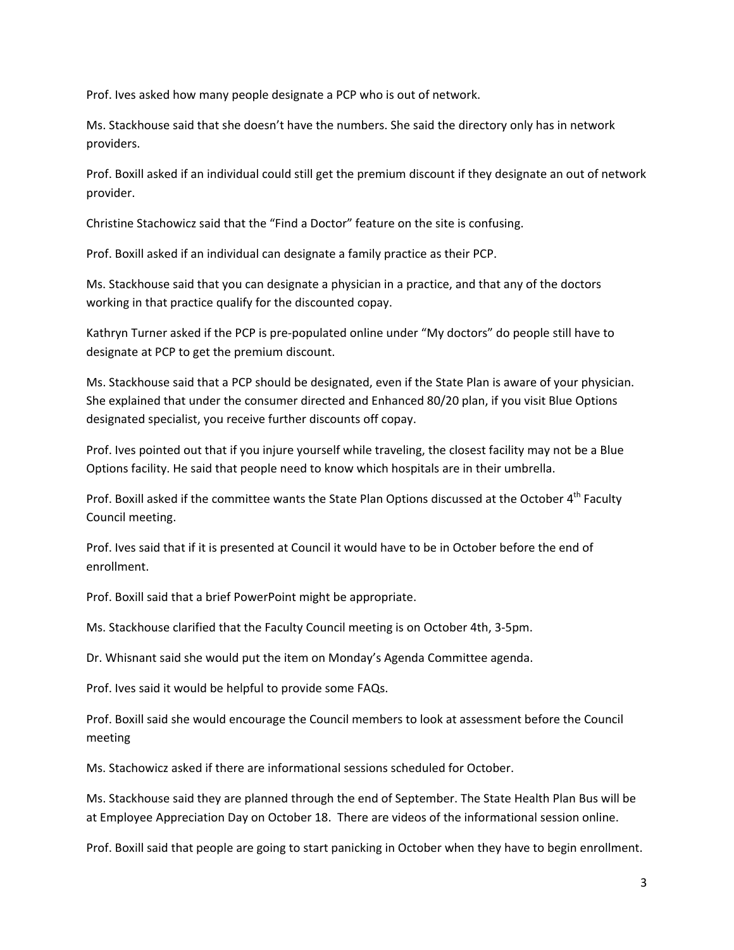Prof. Ives asked how many people designate a PCP who is out of network.

Ms. Stackhouse said that she doesn't have the numbers. She said the directory only has in network providers.

Prof. Boxill asked if an individual could still get the premium discount if they designate an out of network provider.

Christine Stachowicz said that the "Find a Doctor" feature on the site is confusing.

Prof. Boxill asked if an individual can designate a family practice as their PCP.

Ms. Stackhouse said that you can designate a physician in a practice, and that any of the doctors working in that practice qualify for the discounted copay.

Kathryn Turner asked if the PCP is pre‐populated online under "My doctors" do people still have to designate at PCP to get the premium discount.

Ms. Stackhouse said that a PCP should be designated, even if the State Plan is aware of your physician. She explained that under the consumer directed and Enhanced 80/20 plan, if you visit Blue Options designated specialist, you receive further discounts off copay.

Prof. Ives pointed out that if you injure yourself while traveling, the closest facility may not be a Blue Options facility. He said that people need to know which hospitals are in their umbrella.

Prof. Boxill asked if the committee wants the State Plan Options discussed at the October 4<sup>th</sup> Faculty Council meeting.

Prof. Ives said that if it is presented at Council it would have to be in October before the end of enrollment.

Prof. Boxill said that a brief PowerPoint might be appropriate.

Ms. Stackhouse clarified that the Faculty Council meeting is on October 4th, 3‐5pm.

Dr. Whisnant said she would put the item on Monday's Agenda Committee agenda.

Prof. Ives said it would be helpful to provide some FAQs.

Prof. Boxill said she would encourage the Council members to look at assessment before the Council meeting

Ms. Stachowicz asked if there are informational sessions scheduled for October.

Ms. Stackhouse said they are planned through the end of September. The State Health Plan Bus will be at Employee Appreciation Day on October 18. There are videos of the informational session online.

Prof. Boxill said that people are going to start panicking in October when they have to begin enrollment.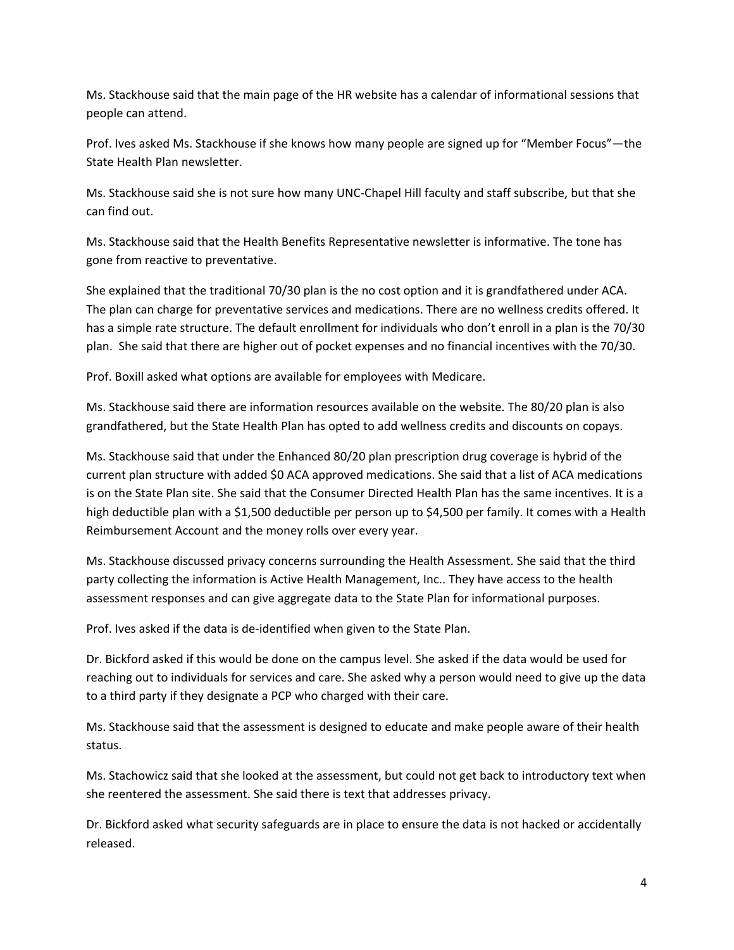Ms. Stackhouse said that the main page of the HR website has a calendar of informational sessions that people can attend.

Prof. Ives asked Ms. Stackhouse if she knows how many people are signed up for "Member Focus"—the State Health Plan newsletter.

Ms. Stackhouse said she is not sure how many UNC‐Chapel Hill faculty and staff subscribe, but that she can find out.

Ms. Stackhouse said that the Health Benefits Representative newsletter is informative. The tone has gone from reactive to preventative.

She explained that the traditional 70/30 plan is the no cost option and it is grandfathered under ACA. The plan can charge for preventative services and medications. There are no wellness credits offered. It has a simple rate structure. The default enrollment for individuals who don't enroll in a plan is the 70/30 plan. She said that there are higher out of pocket expenses and no financial incentives with the 70/30.

Prof. Boxill asked what options are available for employees with Medicare.

Ms. Stackhouse said there are information resources available on the website. The 80/20 plan is also grandfathered, but the State Health Plan has opted to add wellness credits and discounts on copays.

Ms. Stackhouse said that under the Enhanced 80/20 plan prescription drug coverage is hybrid of the current plan structure with added \$0 ACA approved medications. She said that a list of ACA medications is on the State Plan site. She said that the Consumer Directed Health Plan has the same incentives. It is a high deductible plan with a \$1,500 deductible per person up to \$4,500 per family. It comes with a Health Reimbursement Account and the money rolls over every year.

Ms. Stackhouse discussed privacy concerns surrounding the Health Assessment. She said that the third party collecting the information is Active Health Management, Inc.. They have access to the health assessment responses and can give aggregate data to the State Plan for informational purposes.

Prof. Ives asked if the data is de‐identified when given to the State Plan.

Dr. Bickford asked if this would be done on the campus level. She asked if the data would be used for reaching out to individuals for services and care. She asked why a person would need to give up the data to a third party if they designate a PCP who charged with their care.

Ms. Stackhouse said that the assessment is designed to educate and make people aware of their health status.

Ms. Stachowicz said that she looked at the assessment, but could not get back to introductory text when she reentered the assessment. She said there is text that addresses privacy.

Dr. Bickford asked what security safeguards are in place to ensure the data is not hacked or accidentally released.